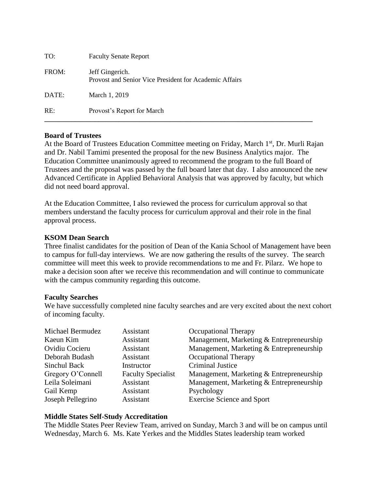| TO:   | <b>Faculty Senate Report</b>                                              |
|-------|---------------------------------------------------------------------------|
| FROM: | Jeff Gingerich.<br>Provost and Senior Vice President for Academic Affairs |
| DATE: | March 1, 2019                                                             |
| RE:   | Provost's Report for March                                                |

#### **Board of Trustees**

At the Board of Trustees Education Committee meeting on Friday, March 1<sup>st</sup>, Dr. Murli Rajan and Dr. Nabil Tamimi presented the proposal for the new Business Analytics major. The Education Committee unanimously agreed to recommend the program to the full Board of Trustees and the proposal was passed by the full board later that day. I also announced the new Advanced Certificate in Applied Behavioral Analysis that was approved by faculty, but which did not need board approval.

At the Education Committee, I also reviewed the process for curriculum approval so that members understand the faculty process for curriculum approval and their role in the final approval process.

#### **KSOM Dean Search**

Three finalist candidates for the position of Dean of the Kania School of Management have been to campus for full-day interviews. We are now gathering the results of the survey. The search committee will meet this week to provide recommendations to me and Fr. Pilarz. We hope to make a decision soon after we receive this recommendation and will continue to communicate with the campus community regarding this outcome.

#### **Faculty Searches**

We have successfully completed nine faculty searches and are very excited about the next cohort of incoming faculty.

| Michael Bermudez  | Assistant                 | <b>Occupational Therapy</b>              |
|-------------------|---------------------------|------------------------------------------|
| Kaeun Kim         | Assistant                 | Management, Marketing & Entrepreneurship |
| Ovidiu Cocieru    | Assistant                 | Management, Marketing & Entrepreneurship |
| Deborah Budash    | Assistant                 | Occupational Therapy                     |
| Sinchul Back      | Instructor                | <b>Criminal Justice</b>                  |
| Gregory O'Connell | <b>Faculty Specialist</b> | Management, Marketing & Entrepreneurship |
| Leila Soleimani   | Assistant                 | Management, Marketing & Entrepreneurship |
| Gail Kemp         | Assistant                 | Psychology                               |
| Joseph Pellegrino | Assistant                 | <b>Exercise Science and Sport</b>        |

#### **Middle States Self-Study Accreditation**

The Middle States Peer Review Team, arrived on Sunday, March 3 and will be on campus until Wednesday, March 6. Ms. Kate Yerkes and the Middles States leadership team worked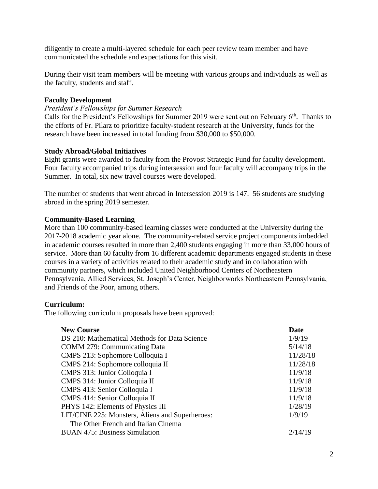diligently to create a multi-layered schedule for each peer review team member and have communicated the schedule and expectations for this visit.

During their visit team members will be meeting with various groups and individuals as well as the faculty, students and staff.

### **Faculty Development**

#### *President's Fellowships for Summer Research*

Calls for the President's Fellowships for Summer 2019 were sent out on February  $6<sup>th</sup>$ . Thanks to the efforts of Fr. Pilarz to prioritize faculty-student research at the University, funds for the research have been increased in total funding from \$30,000 to \$50,000.

#### **Study Abroad/Global Initiatives**

Eight grants were awarded to faculty from the Provost Strategic Fund for faculty development. Four faculty accompanied trips during intersession and four faculty will accompany trips in the Summer. In total, six new travel courses were developed.

The number of students that went abroad in Intersession 2019 is 147. 56 students are studying abroad in the spring 2019 semester.

## **Community-Based Learning**

More than 100 community-based learning classes were conducted at the University during the 2017-2018 academic year alone. The community-related service project components imbedded in academic courses resulted in more than 2,400 students engaging in more than 33,000 hours of service. More than 60 faculty from 16 different academic departments engaged students in these courses in a variety of activities related to their academic study and in collaboration with community partners, which included United Neighborhood Centers of Northeastern Pennsylvania, Allied Services, St. Joseph's Center, Neighborworks Northeastern Pennsylvania, and Friends of the Poor, among others.

## **Curriculum:**

The following curriculum proposals have been approved:

| <b>New Course</b>                               | Date     |
|-------------------------------------------------|----------|
| DS 210: Mathematical Methods for Data Science   | 1/9/19   |
| <b>COMM 279: Communicating Data</b>             | 5/14/18  |
| CMPS 213: Sophomore Colloquia I                 | 11/28/18 |
| CMPS 214: Sophomore colloquia II                | 11/28/18 |
| CMPS 313: Junior Colloquia I                    | 11/9/18  |
| CMPS 314: Junior Colloquia II                   | 11/9/18  |
| CMPS 413: Senior Colloquia I                    | 11/9/18  |
| CMPS 414: Senior Colloquia II                   | 11/9/18  |
| PHYS 142: Elements of Physics III               | 1/28/19  |
| LIT/CINE 225: Monsters, Aliens and Superheroes: | 1/9/19   |
| The Other French and Italian Cinema             |          |
| <b>BUAN 475: Business Simulation</b>            | 2/14/19  |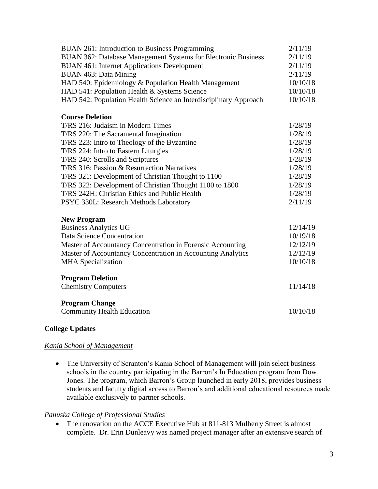| <b>BUAN 261: Introduction to Business Programming</b>            | 2/11/19  |
|------------------------------------------------------------------|----------|
| BUAN 362: Database Management Systems for Electronic Business    | 2/11/19  |
| <b>BUAN 461: Internet Applications Development</b>               | 2/11/19  |
| BUAN 463: Data Mining                                            | 2/11/19  |
| HAD 540: Epidemiology & Population Health Management             | 10/10/18 |
| HAD 541: Population Health & Systems Science                     | 10/10/18 |
| HAD 542: Population Health Science an Interdisciplinary Approach | 10/10/18 |
| <b>Course Deletion</b>                                           |          |
| T/RS 216: Judaism in Modern Times                                | 1/28/19  |
| T/RS 220: The Sacramental Imagination                            | 1/28/19  |
| T/RS 223: Intro to Theology of the Byzantine                     | 1/28/19  |
| T/RS 224: Intro to Eastern Liturgies                             | 1/28/19  |
| T/RS 240: Scrolls and Scriptures                                 | 1/28/19  |
| T/RS 316: Passion & Resurrection Narratives                      | 1/28/19  |
| T/RS 321: Development of Christian Thought to 1100               | 1/28/19  |
| T/RS 322: Development of Christian Thought 1100 to 1800          | 1/28/19  |
| T/RS 242H: Christian Ethics and Public Health                    | 1/28/19  |
| PSYC 330L: Research Methods Laboratory                           | 2/11/19  |
| <b>New Program</b>                                               |          |
| <b>Business Analytics UG</b>                                     | 12/14/19 |
| Data Science Concentration                                       | 10/19/18 |
| Master of Accountancy Concentration in Forensic Accounting       | 12/12/19 |
| Master of Accountancy Concentration in Accounting Analytics      | 12/12/19 |
| <b>MHA</b> Specialization                                        | 10/10/18 |
| <b>Program Deletion</b>                                          |          |
| <b>Chemistry Computers</b>                                       | 11/14/18 |
| <b>Program Change</b>                                            |          |
| <b>Community Health Education</b>                                | 10/10/18 |

# **College Updates**

## *Kania School of Management*

• The University of Scranton's Kania School of Management will join select business schools in the country participating in the Barron's In Education program from Dow Jones. The program, which Barron's Group launched in early 2018, provides business students and faculty digital access to Barron's and additional educational resources made available exclusively to partner schools.

## *Panuska College of Professional Studies*

• The renovation on the ACCE Executive Hub at 811-813 Mulberry Street is almost complete. Dr. Erin Dunleavy was named project manager after an extensive search of